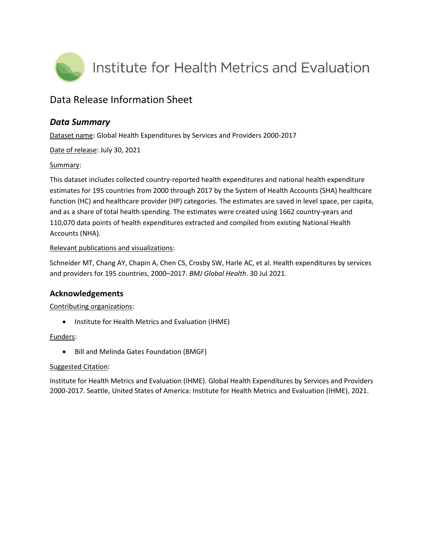

# Data Release Information Sheet

# *Data Summary*

Dataset name: Global Health Expenditures by Services and Providers 2000-2017

Date of release: July 30, 2021

#### Summary:

This dataset includes collected country-reported health expenditures and national health expenditure estimates for 195 countries from 2000 through 2017 by the System of Health Accounts (SHA) healthcare function (HC) and healthcare provider (HP) categories. The estimates are saved in level space, per capita, and as a share of total health spending. The estimates were created using 1662 country-years and 110,070 data points of health expenditures extracted and compiled from existing National Health Accounts (NHA).

#### Relevant publications and visualizations:

Schneider MT, Chang AY, Chapin A, Chen CS, Crosby SW, Harle AC, et al. Health expenditures by services and providers for 195 countries, 2000–2017. *BMJ Global Health*. 30 Jul 2021.

## **Acknowledgements**

## Contributing organizations:

• Institute for Health Metrics and Evaluation (IHME)

## Funders:

Bill and Melinda Gates Foundation (BMGF)

#### Suggested Citation:

Institute for Health Metrics and Evaluation (IHME). Global Health Expenditures by Services and Providers 2000-2017. Seattle, United States of America: Institute for Health Metrics and Evaluation (IHME), 2021.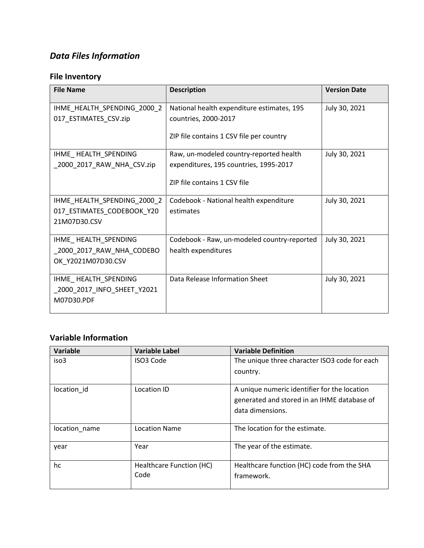# *Data Files Information*

# **File Inventory**

| <b>File Name</b>                                                          | <b>Description</b>                                                                                                | <b>Version Date</b> |
|---------------------------------------------------------------------------|-------------------------------------------------------------------------------------------------------------------|---------------------|
| IHME_HEALTH_SPENDING_2000_2<br>017_ESTIMATES_CSV.zip                      | National health expenditure estimates, 195<br>countries, 2000-2017<br>ZIP file contains 1 CSV file per country    | July 30, 2021       |
| IHME_HEALTH_SPENDING<br>2000 2017 RAW NHA CSV.zip                         | Raw, un-modeled country-reported health<br>expenditures, 195 countries, 1995-2017<br>ZIP file contains 1 CSV file | July 30, 2021       |
| IHME_HEALTH_SPENDING_2000_2<br>017_ESTIMATES_CODEBOOK_Y20<br>21M07D30.CSV | Codebook - National health expenditure<br>estimates                                                               | July 30, 2021       |
| IHME_HEALTH_SPENDING<br>_2000_2017_RAW_NHA_CODEBO<br>OK_Y2021M07D30.CSV   | Codebook - Raw, un-modeled country-reported<br>health expenditures                                                | July 30, 2021       |
| IHME_HEALTH_SPENDING<br>2000_2017_INFO_SHEET_Y2021<br>M07D30.PDF          | Data Release Information Sheet                                                                                    | July 30, 2021       |

# **Variable Information**

| Variable      | <b>Variable Label</b>    | <b>Variable Definition</b>                    |
|---------------|--------------------------|-----------------------------------------------|
| iso3          | ISO3 Code                | The unique three character ISO3 code for each |
|               |                          | country.                                      |
| location id   | Location ID              | A unique numeric identifier for the location  |
|               |                          | generated and stored in an IHME database of   |
|               |                          | data dimensions.                              |
|               |                          |                                               |
| location_name | <b>Location Name</b>     | The location for the estimate.                |
| year          | Year                     | The year of the estimate.                     |
| hc            | Healthcare Function (HC) | Healthcare function (HC) code from the SHA    |
|               | Code                     | framework.                                    |
|               |                          |                                               |